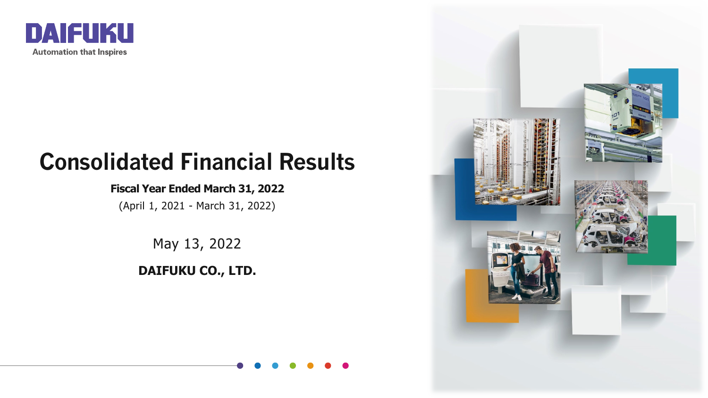

## **Consolidated Financial Results**

#### **Fiscal Year Ended March 31, 2022**

(April 1, 2021 - March 31, 2022)

May 13, 2022

**DAIFUKU CO., LTD.**

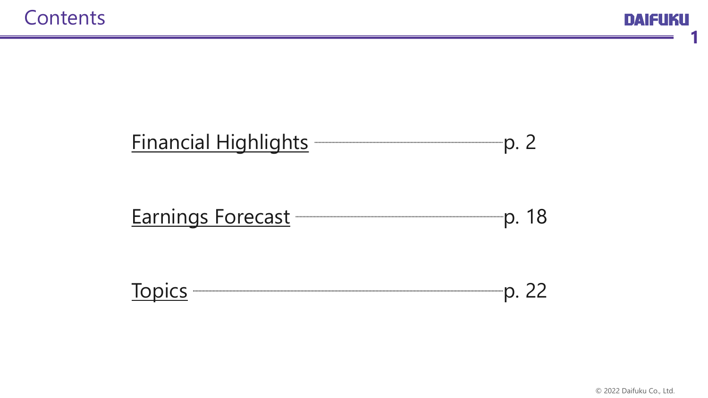

**1**

## <span id="page-1-0"></span>[Financial Highlights](#page-2-0) **Financial Highlights p. 2**

## [Earnings Forecast](#page-18-0) **Earnings** Forecast **Research Earnings** P. 18

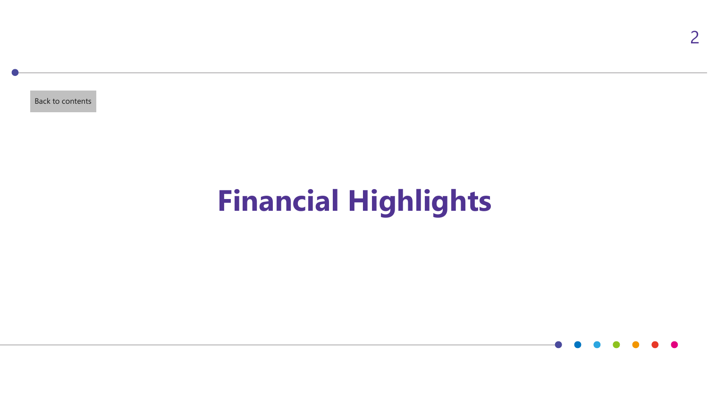<span id="page-2-0"></span>[Back to contents](#page-1-0)

# **Financial Highlights**

2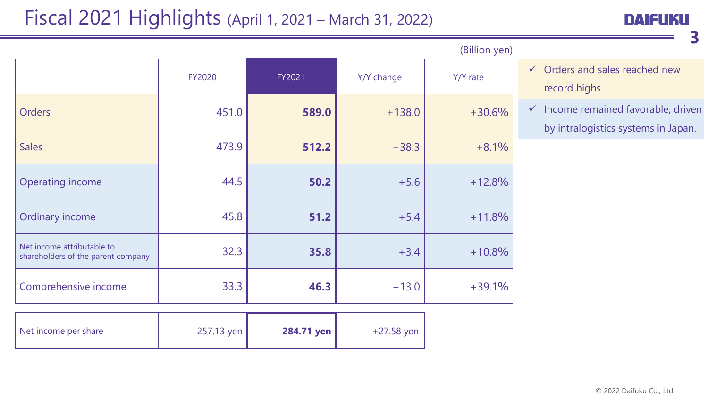## Fiscal 2021 Highlights (April 1, 2021 – March 31, 2022)

**3**

|                                                                  |               |        |            | (Billion yen) |
|------------------------------------------------------------------|---------------|--------|------------|---------------|
|                                                                  | <b>FY2020</b> | FY2021 | Y/Y change | Y/Y rate      |
| <b>Orders</b>                                                    | 451.0         | 589.0  | $+138.0$   | $+30.6%$      |
| <b>Sales</b>                                                     | 473.9         | 512.2  | $+38.3$    | $+8.1%$       |
| <b>Operating income</b>                                          | 44.5          | 50.2   | $+5.6$     | $+12.8%$      |
| Ordinary income                                                  | 45.8          | 51.2   | $+5.4$     | $+11.8%$      |
| Net income attributable to<br>shareholders of the parent company | 32.3          | 35.8   | $+3.4$     | $+10.8%$      |
| Comprehensive income                                             | 33.3          | 46.3   | $+13.0$    | $+39.1%$      |

| Net income per share | 257.13 yen | 284.71 yen | +27.58 yen |
|----------------------|------------|------------|------------|
|----------------------|------------|------------|------------|

| $\checkmark$ Orders and sales reached new |
|-------------------------------------------|
| record highs.                             |

 $\checkmark$  Income remained favorable, driven by intralogistics systems in Japan.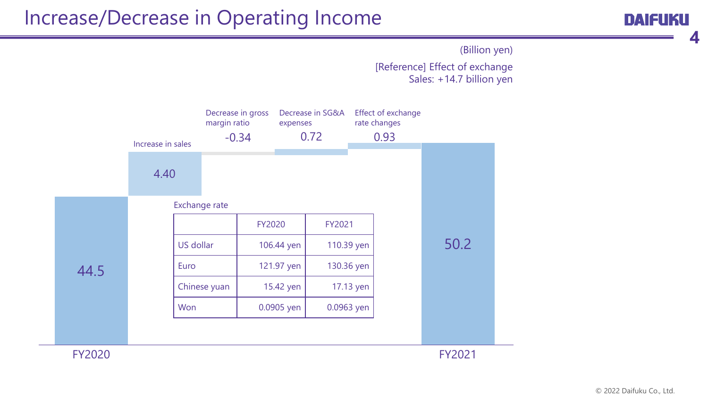## Increase/Decrease in Operating Income

**4**

[Reference] Effect of exchange Sales: +14.7 billion yen (Billion yen)

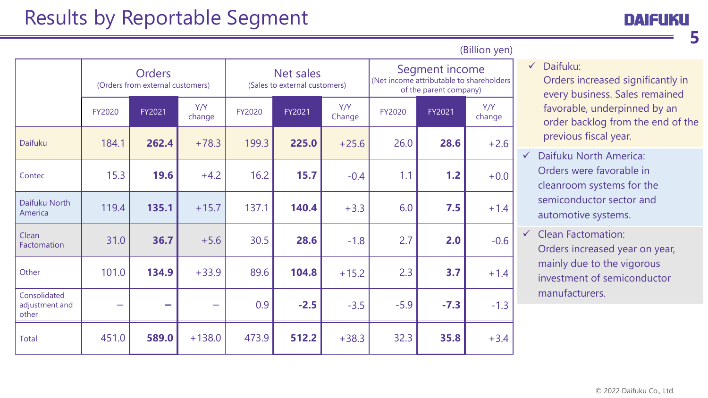## Results by Reportable Segment

**5**

|                                         |                          | <b>Orders</b><br>(Orders from external customers) |               |               | Net sales<br>(Sales to external customers) |               | Segment income<br>(Net income attributable to shareholders<br>of the parent company) |        |               |  |  |
|-----------------------------------------|--------------------------|---------------------------------------------------|---------------|---------------|--------------------------------------------|---------------|--------------------------------------------------------------------------------------|--------|---------------|--|--|
|                                         | FY2020                   | FY2021                                            | Y/Y<br>change | <b>FY2020</b> | FY2021                                     | Y/Y<br>Change | FY2020                                                                               | FY2021 | Y/Y<br>change |  |  |
| <b>Daifuku</b>                          | 184.1                    | 262.4                                             | $+78.3$       | 199.3         | 225.0                                      | $+25.6$       | 26.0                                                                                 | 28.6   | $+2.6$        |  |  |
| Contec                                  | 15.3                     | 19.6                                              | $+4.2$        | 16.2          | 15.7                                       | $-0.4$        | 1.1                                                                                  | 1.2    | $+0.0$        |  |  |
| Daifuku North<br>America                | 119.4                    | 135.1                                             | $+15.7$       | 137.1         | 140.4                                      | $+3.3$        | 6.0                                                                                  | 7.5    | $+1.4$        |  |  |
| Clean<br>Factomation                    | 31.0                     | 36.7                                              | $+5.6$        | 30.5          | 28.6                                       | $-1.8$        | 2.7                                                                                  | 2.0    | $-0.6$        |  |  |
| Other                                   | 101.0                    | 134.9                                             | $+33.9$       | 89.6          | 104.8                                      | $+15.2$       | 2.3                                                                                  | 3.7    | $+1.4$        |  |  |
| Consolidated<br>adjustment and<br>other | $\overline{\phantom{0}}$ | $\sim$                                            |               | 0.9           | $-2.5$                                     | $-3.5$        | $-5.9$                                                                               | $-7.3$ | $-1.3$        |  |  |
| Total                                   | 451.0                    | 589.0                                             | $+138.0$      | 473.9         | 512.2                                      | $+38.3$       | 32.3                                                                                 | 35.8   | $+3.4$        |  |  |

#### (Billion yen)

#### $\checkmark$  Daifuku:

Orders increased significantly in every business. Sales remained favorable, underpinned by an order backlog from the end of the previous fiscal year.

- Daifuku North America: Orders were favorable in cleanroom systems for the semiconductor sector and automotive systems.
- $\checkmark$  Clean Factomation: Orders increased year on year, mainly due to the vigorous investment of semiconductor manufacturers.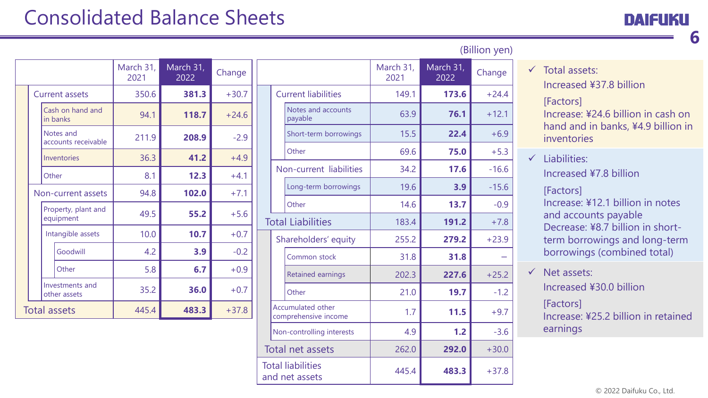## Consolidated Balance Sheets

|  | DAIFUKU |
|--|---------|
|  |         |

**6**

|                                  | March 31,<br>2021 | March 31,<br>2022 | Change  |
|----------------------------------|-------------------|-------------------|---------|
| <b>Current assets</b>            | 350.6             | 381.3             | $+30.7$ |
| Cash on hand and<br>in banks     | 94.1              | 118.7             | $+24.6$ |
| Notes and<br>accounts receivable | 211.9             | 208.9             | $-2.9$  |
| Inventories                      | 36.3              | 41.2              | $+4.9$  |
| Other                            | 8.1               | 12.3              | $+4.1$  |
| Non-current assets               | 94.8              | 102.0             | $+7.1$  |
| Property, plant and<br>equipment | 49.5              | 55.2              | $+5.6$  |
| Intangible assets                | 10.0              | 10.7              | $+0.7$  |
| Goodwill                         | 4.2               | 3.9               | $-0.2$  |
| Other                            | 5.8               | 6.7               | $+0.9$  |
| Investments and<br>other assets  | 35.2              | 36.0              | $+0.7$  |
| <b>Total assets</b>              | 445.4             | 483.3             | $+37.8$ |

|                  |                                                  |                   |                   | (Billion yen) |
|------------------|--------------------------------------------------|-------------------|-------------------|---------------|
|                  |                                                  | March 31,<br>2021 | March 31,<br>2022 | Change        |
|                  | <b>Current liabilities</b>                       | 149.1             | 173.6             | $+24.4$       |
|                  | Notes and accounts<br>payable                    | 63.9              | 76.1              | $+12.1$       |
|                  | Short-term borrowings                            | 15.5              | 22.4              | $+6.9$        |
|                  | Other                                            | 69.6              | 75.0              | $+5.3$        |
|                  | Non-current liabilities                          | 34.2              | 17.6              | $-16.6$       |
|                  | Long-term borrowings                             | 19.6              | 3.9               | $-15.6$       |
|                  | Other                                            | 14.6              | 13.7              | $-0.9$        |
|                  | <b>Total Liabilities</b>                         | 183.4             | 191.2             | $+7.8$        |
|                  | Shareholders' equity                             | 255.2             | 279.2             | $+23.9$       |
|                  | Common stock                                     | 31.8              | 31.8              |               |
|                  | <b>Retained earnings</b>                         | 202.3             | 227.6             | $+25.2$       |
|                  | Other                                            | 21.0              | 19.7              | $-1.2$        |
|                  | <b>Accumulated other</b><br>comprehensive income | 1.7               | 11.5              | $+9.7$        |
|                  | Non-controlling interests                        | 4.9               | 1.2               | $-3.6$        |
| Total net assets |                                                  | 262.0             | 292.0             | $+30.0$       |
|                  | <b>Total liabilities</b><br>and net assets       | 445.4             | 483.3             | $+37.8$       |

|  | $\checkmark$ Total assets: |
|--|----------------------------|
|  |                            |
|  |                            |

Increased ¥37.8 billion

[Factors]

Increase: ¥24.6 billion in cash on hand and in banks, ¥4.9 billion in inventories

 $\checkmark$  Liabilities: Increased ¥7.8 billion

> [Factors] Increase: ¥12.1 billion in notes and accounts payable Decrease: ¥8.7 billion in shortterm borrowings and long-term borrowings (combined total)

 $\checkmark$  Net assets: Increased ¥30.0 billion [Factors]

Increase: ¥25.2 billion in retained earnings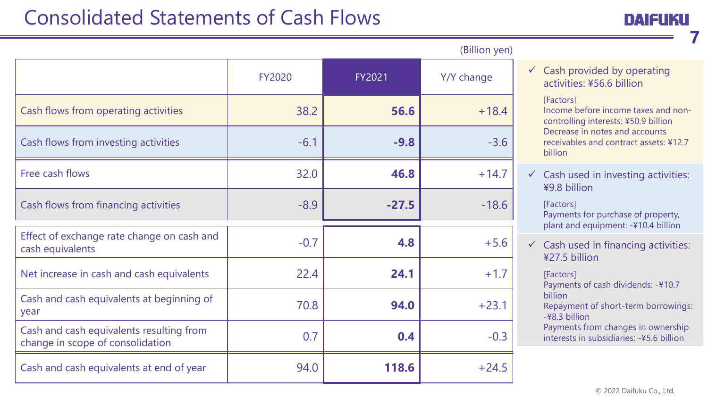## Consolidated Statements of Cash Flows

**7**

|                                                                              |               |               | (DIIIIUII VEII) |
|------------------------------------------------------------------------------|---------------|---------------|-----------------|
|                                                                              | <b>FY2020</b> | <b>FY2021</b> | Y/Y change      |
| Cash flows from operating activities                                         | 38.2          | 56.6          | $+18.4$         |
| Cash flows from investing activities                                         | $-6.1$        | $-9.8$        | $-3.6$          |
| Free cash flows                                                              | 32.0          | 46.8          | $+14.7$         |
| Cash flows from financing activities                                         | $-8.9$        | $-27.5$       | $-18.6$         |
| Effect of exchange rate change on cash and<br>cash equivalents               | $-0.7$        | 4.8           | $+5.6$          |
| Net increase in cash and cash equivalents                                    | 22.4          | 24.1          | $+1.7$          |
| Cash and cash equivalents at beginning of<br>year                            | 70.8          | 94.0          | $+23.1$         |
| Cash and cash equivalents resulting from<br>change in scope of consolidation | 0.7           | 0.4           | $-0.3$          |
| Cash and cash equivalents at end of year                                     | 94.0          | 118.6         | $+24.5$         |

#### $\checkmark$  Cash provided by operating activities: ¥56.6 billion

#### [Factors]

(Billion yen)

Income before income taxes and noncontrolling interests: ¥50.9 billion Decrease in notes and accounts receivables and contract assets: ¥12.7 billion

 $\checkmark$  Cash used in investing activities: ¥9.8 billion

[Factors] Payments for purchase of property, plant and equipment: -¥10.4 billion

 $\checkmark$  Cash used in financing activities: ¥27.5 billion

> [Factors] Payments of cash dividends: -¥10.7 billion Repayment of short-term borrowings: -¥8.3 billion Payments from changes in ownership interests in subsidiaries: -¥5.6 billion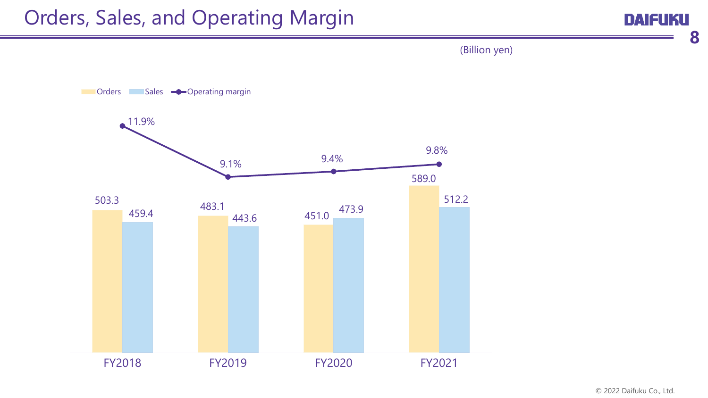**DAIFUKU** 

**8**

(Billion yen)

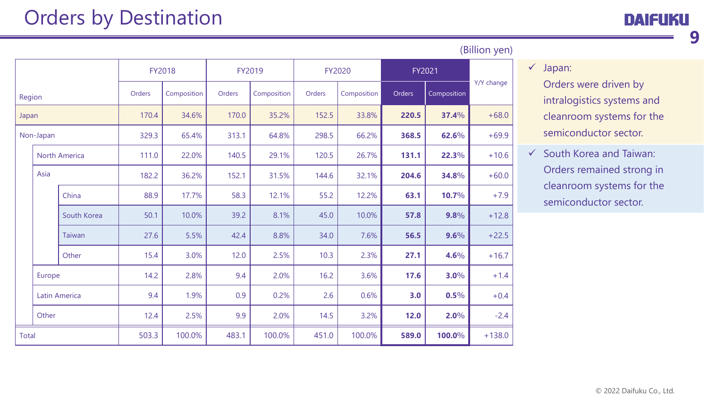**9**

|              |           |               |        |             |        |             |        |             | $\overline{C}$ |             |            |       |      |         |         |
|--------------|-----------|---------------|--------|-------------|--------|-------------|--------|-------------|----------------|-------------|------------|-------|------|---------|---------|
|              |           |               |        | FY2018      |        | FY2019      |        | FY2020      |                | FY2021      |            |       |      |         |         |
| Region       |           |               | Orders | Composition | Orders | Composition | Orders | Composition | Orders         | Composition | Y/Y change |       |      |         |         |
| Japan        |           |               | 170.4  | 34.6%       | 170.0  | 35.2%       | 152.5  | 33.8%       | 220.5          | 37.4%       | $+68.0$    |       |      |         |         |
|              | Non-Japan |               | 329.3  | 65.4%       | 313.1  | 64.8%       | 298.5  | 66.2%       | 368.5          | 62.6%       | $+69.9$    |       |      |         |         |
|              |           | North America | 111.0  | 22.0%       | 140.5  | 29.1%       | 120.5  | 26.7%       | 131.1          | 22.3%       | $+10.6$    |       |      |         |         |
|              | Asia      |               | 182.2  | 36.2%       | 152.1  | 31.5%       | 144.6  | 32.1%       | 204.6          | 34.8%       | $+60.0$    |       |      |         |         |
|              |           | China         | 88.9   | 17.7%       | 58.3   | 12.1%       | 55.2   | 12.2%       | 63.1           | 10.7%       | $+7.9$     |       |      |         |         |
|              |           |               |        |             |        | South Korea | 50.1   | 10.0%       | 39.2           | 8.1%        | 45.0       | 10.0% | 57.8 | 9.8%    | $+12.8$ |
|              |           |               |        |             | Taiwan | 27.6        | 5.5%   | 42.4        | 8.8%           | 34.0        | 7.6%       | 56.5  | 9.6% | $+22.5$ |         |
|              |           | Other         | 15.4   | 3.0%        | 12.0   | 2.5%        | 10.3   | 2.3%        | 27.1           | 4.6%        | $+16.7$    |       |      |         |         |
|              | Europe    |               | 14.2   | 2.8%        | 9.4    | 2.0%        | 16.2   | 3.6%        | 17.6           | 3.0%        | $+1.4$     |       |      |         |         |
|              |           | Latin America | 9.4    | 1.9%        | 0.9    | 0.2%        | 2.6    | 0.6%        | 3.0            | 0.5%        | $+0.4$     |       |      |         |         |
|              | Other     |               | 12.4   | 2.5%        | 9.9    | 2.0%        | 14.5   | 3.2%        | 12.0           | 2.0%        | $-2.4$     |       |      |         |         |
| <b>Total</b> |           |               | 503.3  | 100.0%      | 483.1  | 100.0%      | 451.0  | 100.0%      | 589.0          | 100.0%      | $+138.0$   |       |      |         |         |

(Billion yen)

#### $\checkmark$  Japan:

Orders were driven by intralogistics systems and cleanroom systems for the semiconductor sector.

 $\checkmark$  South Korea and Taiwan: Orders remained strong in cleanroom systems for the semiconductor sector.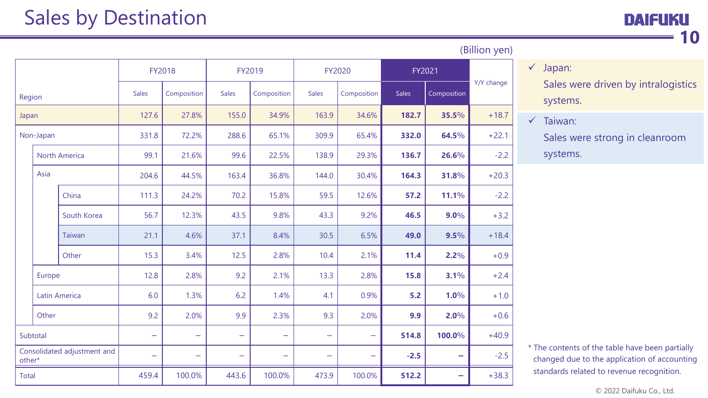|        |                                       |                      | FY2018                   |                          | FY2019                   |                          | FY2020                   |                          | FY2021       |             |            |
|--------|---------------------------------------|----------------------|--------------------------|--------------------------|--------------------------|--------------------------|--------------------------|--------------------------|--------------|-------------|------------|
| Region |                                       |                      | <b>Sales</b>             | Composition              | <b>Sales</b>             | Composition              | <b>Sales</b>             | Composition              | <b>Sales</b> | Composition | Y/Y change |
| Japan  |                                       |                      | 127.6                    | 27.8%                    | 155.0                    | 34.9%                    | 163.9                    | 34.6%                    | 182.7        | 35.5%       | $+18.7$    |
|        | Non-Japan                             |                      | 331.8                    | 72.2%                    | 288.6                    | 65.1%                    | 309.9                    | 65.4%                    | 332.0        | 64.5%       | $+22.1$    |
|        |                                       | <b>North America</b> | 99.1                     | 21.6%                    | 99.6                     | 22.5%                    | 138.9                    | 29.3%                    | 136.7        | 26.6%       | $-2.2$     |
|        | Asia                                  |                      | 204.6                    | 44.5%                    | 163.4                    | 36.8%                    | 144.0                    | 30.4%                    | 164.3        | 31.8%       | $+20.3$    |
|        |                                       | China                | 111.3                    | 24.2%                    | 70.2                     | 15.8%                    | 59.5                     | 12.6%                    | 57.2         | 11.1%       | $-2.2$     |
|        |                                       | South Korea          | 56.7                     | 12.3%                    | 43.5                     | 9.8%                     | 43.3                     | 9.2%                     | 46.5         | $9.0\%$     | $+3.2$     |
|        |                                       | Taiwan               | 21.1                     | 4.6%                     | 37.1                     | 8.4%                     | 30.5                     | 6.5%                     | 49.0         | 9.5%        | $+18.4$    |
|        |                                       | Other                | 15.3                     | 3.4%                     | 12.5                     | 2.8%                     | 10.4                     | 2.1%                     | 11.4         | $2.2\%$     | $+0.9$     |
|        | Europe                                |                      | 12.8                     | 2.8%                     | 9.2                      | 2.1%                     | 13.3                     | 2.8%                     | 15.8         | 3.1%        | $+2.4$     |
|        |                                       | Latin America        | 6.0                      | 1.3%                     | 6.2                      | 1.4%                     | 4.1                      | 0.9%                     | 5.2          | 1.0%        | $+1.0$     |
|        | Other                                 |                      | 9.2                      | 2.0%                     | 9.9                      | 2.3%                     | 9.3                      | 2.0%                     | 9.9          | 2.0%        | $+0.6$     |
|        | Subtotal                              |                      | $\overline{\phantom{0}}$ | $\equiv$                 | $\overline{\phantom{0}}$ | $\overline{\phantom{0}}$ | $\equiv$                 | $\overline{\phantom{0}}$ | 514.8        | 100.0%      | $+40.9$    |
|        | Consolidated adjustment and<br>other* |                      | $\overline{\phantom{0}}$ | $\overline{\phantom{0}}$ | $\equiv$                 | $\overline{\phantom{0}}$ | $\overline{\phantom{0}}$ |                          | $-2.5$       | -           | $-2.5$     |
| Total  |                                       |                      | 459.4                    | 100.0%                   | 443.6                    | 100.0%                   | 473.9                    | 100.0%                   | 512.2        | $\equiv$    | $+38.3$    |

#### (Billion yen)

 $\checkmark$  Japan:

Sales were driven by intralogistics systems.

 $\checkmark$  Taiwan:

Sales were strong in cleanroom systems.

\* The contents of the table have been partially changed due to the application of accounting standards related to revenue recognition.

© 2022 Daifuku Co., Ltd.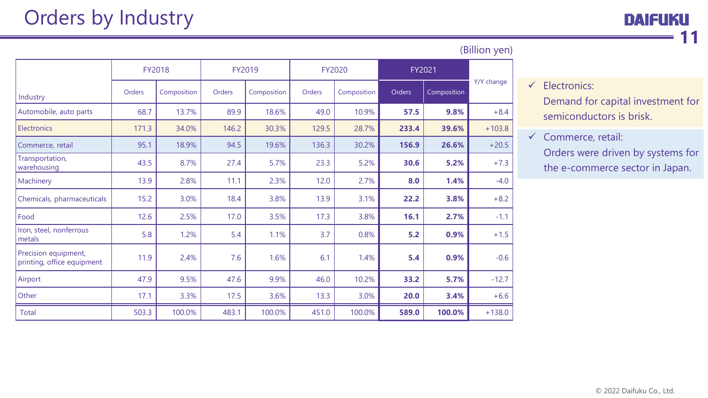|                                                    |        | FY2018      |        | FY2019      |        | FY2020      |        | FY2021      |            |
|----------------------------------------------------|--------|-------------|--------|-------------|--------|-------------|--------|-------------|------------|
| Industry                                           | Orders | Composition | Orders | Composition | Orders | Composition | Orders | Composition | Y/Y change |
| Automobile, auto parts                             | 68.7   | 13.7%       | 89.9   | 18.6%       | 49.0   | 10.9%       | 57.5   | 9.8%        | $+8.4$     |
| <b>Electronics</b>                                 | 171.3  | 34.0%       | 146.2  | 30.3%       | 129.5  | 28.7%       | 233.4  | 39.6%       | $+103.8$   |
| Commerce, retail                                   | 95.1   | 18.9%       | 94.5   | 19.6%       | 136.3  | 30.2%       | 156.9  | 26.6%       | $+20.5$    |
| Transportation,<br>warehousing                     | 43.5   | 8.7%        | 27.4   | 5.7%        | 23.3   | 5.2%        | 30.6   | 5.2%        | $+7.3$     |
| Machinery                                          | 13.9   | 2.8%        | 11.1   | 2.3%        | 12.0   | 2.7%        | 8.0    | 1.4%        | $-4.0$     |
| Chemicals, pharmaceuticals                         | 15.2   | 3.0%        | 18.4   | 3.8%        | 13.9   | 3.1%        | 22.2   | 3.8%        | $+8.2$     |
| Food                                               | 12.6   | 2.5%        | 17.0   | 3.5%        | 17.3   | 3.8%        | 16.1   | 2.7%        | $-1.1$     |
| Iron, steel, nonferrous<br>metals                  | 5.8    | 1.2%        | 5.4    | 1.1%        | 3.7    | 0.8%        | $5.2$  | 0.9%        | $+1.5$     |
| Precision equipment,<br>printing, office equipment | 11.9   | 2.4%        | 7.6    | 1.6%        | 6.1    | 1.4%        | 5.4    | 0.9%        | $-0.6$     |
| Airport                                            | 47.9   | 9.5%        | 47.6   | 9.9%        | 46.0   | 10.2%       | 33.2   | 5.7%        | $-12.7$    |
| Other                                              | 17.1   | 3.3%        | 17.5   | 3.6%        | 13.3   | 3.0%        | 20.0   | 3.4%        | $+6.6$     |
| <b>Total</b>                                       | 503.3  | 100.0%      | 483.1  | 100.0%      | 451.0  | 100.0%      | 589.0  | 100.0%      | $+138.0$   |

#### (Billion yen)

 $\checkmark$  Electronics:

Demand for capital investment for semiconductors is brisk.

 $\checkmark$  Commerce, retail: Orders were driven by systems for the e-commerce sector in Japan.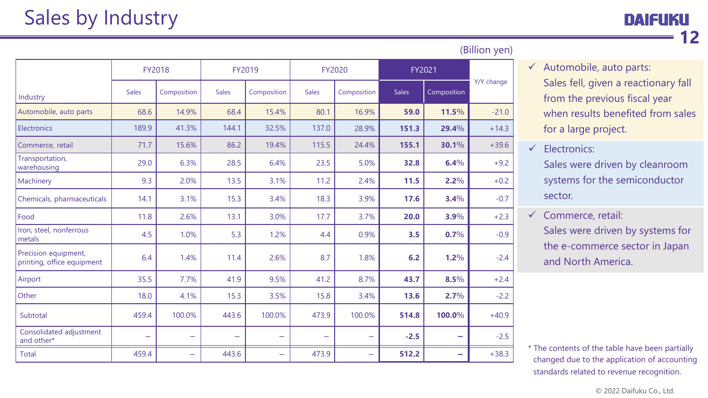|                                                    | FY2018       |                          |              | FY2019                   | FY2020                   |                          | FY2021       |                          |            |
|----------------------------------------------------|--------------|--------------------------|--------------|--------------------------|--------------------------|--------------------------|--------------|--------------------------|------------|
| Industry                                           | <b>Sales</b> | Composition              | <b>Sales</b> | Composition              | <b>Sales</b>             | Composition              | <b>Sales</b> | Composition              | Y/Y change |
| Automobile, auto parts                             | 68.6         | 14.9%                    | 68.4         | 15.4%                    | 80.1                     | 16.9%                    | 59.0         | 11.5%                    | $-21.0$    |
| Electronics                                        | 189.9        | 41.3%                    | 144.1        | 32.5%                    | 137.0                    | 28.9%                    | 151.3        | 29.4%                    | $+14.3$    |
| Commerce, retail                                   | 71.7         | 15.6%                    | 86.2         | 19.4%                    | 115.5                    | 24.4%                    | 155.1        | 30.1%                    | $+39.6$    |
| Transportation,<br>warehousing                     | 29.0         | 6.3%                     | 28.5         | 6.4%                     | 23.5                     | 5.0%                     | 32.8         | 6.4%                     | $+9.2$     |
| Machinery                                          | 9.3          | 2.0%                     | 13.5         | 3.1%                     | 11.2                     | 2.4%                     | 11.5         | $2.2\%$                  | $+0.2$     |
| Chemicals, pharmaceuticals                         | 14.1         | 3.1%                     | 15.3         | 3.4%                     | 18.3                     | 3.9%                     | 17.6         | 3.4%                     | $-0.7$     |
| Food                                               | 11.8         | 2.6%                     | 13.1         | 3.0%                     | 17.7                     | 3.7%                     | 20.0         | 3.9%                     | $+2.3$     |
| Iron, steel, nonferrous<br>metals                  | 4.5          | 1.0%                     | 5.3          | 1.2%                     | 4.4                      | 0.9%                     | 3.5          | 0.7%                     | $-0.9$     |
| Precision equipment,<br>printing, office equipment | 6.4          | 1.4%                     | 11.4         | 2.6%                     | 8.7                      | 1.8%                     | 6.2          | 1.2%                     | $-2.4$     |
| Airport                                            | 35.5         | 7.7%                     | 41.9         | 9.5%                     | 41.2                     | 8.7%                     | 43.7         | 8.5%                     | $+2.4$     |
| Other                                              | 18.0         | 4.1%                     | 15.3         | 3.5%                     | 15.8                     | 3.4%                     | 13.6         | 2.7%                     | $-2.2$     |
| Subtotal                                           | 459.4        | 100.0%                   | 443.6        | 100.0%                   | 473.9                    | 100.0%                   | 514.8        | 100.0%                   | $+40.9$    |
| Consolidated adjustment<br>and other*              | -            | $\overline{\phantom{0}}$ |              | $\overline{\phantom{0}}$ | $\overline{\phantom{0}}$ | -                        | $-2.5$       | $\hspace{0.5cm}$         | $-2.5$     |
| <b>Total</b>                                       | 459.4        | $\overline{\phantom{0}}$ | 443.6        | $\overline{\phantom{0}}$ | 473.9                    | $\overline{\phantom{0}}$ | 512.2        | $\overline{\phantom{a}}$ | $+38.3$    |

#### (Billion yen)

 $\checkmark$  Automobile, auto parts: Sales fell, given a reactionary fall from the previous fiscal year when results benefited from sales for a large project.

 $\checkmark$  Electronics:

Sales were driven by cleanroom systems for the semiconductor sector.

 $\checkmark$  Commerce, retail: Sales were driven by systems for the e-commerce sector in Japan and North America.

\* The contents of the table have been partially changed due to the application of accounting standards related to revenue recognition.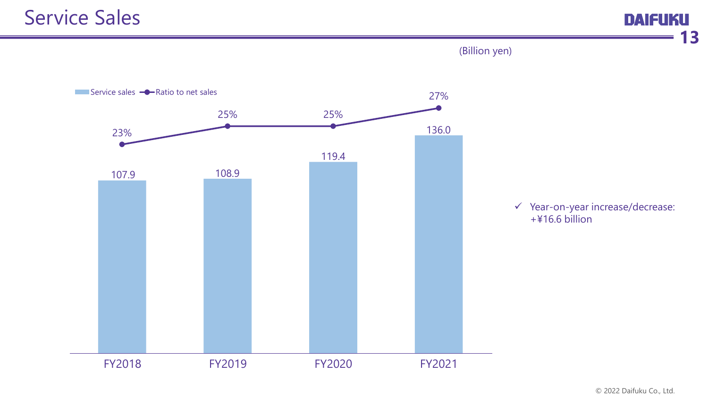

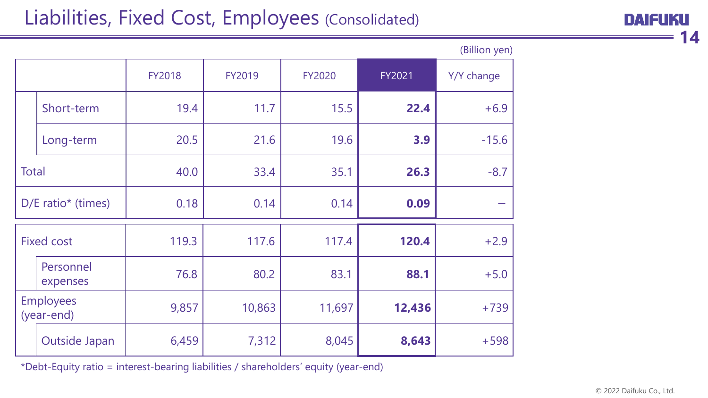## Liabilities, Fixed Cost, Employees (Consolidated)

| DAIFUKU |               |  |
|---------|---------------|--|
|         | $\mathbf{14}$ |  |

|                                |                       |               |        |               |        | (Billion yen) |
|--------------------------------|-----------------------|---------------|--------|---------------|--------|---------------|
|                                |                       | <b>FY2018</b> | FY2019 | <b>FY2020</b> | FY2021 | Y/Y change    |
|                                | Short-term            | 19.4          | 11.7   | 15.5          | 22.4   | $+6.9$        |
|                                | Long-term             | 20.5          | 21.6   | 19.6          | 3.9    | $-15.6$       |
| <b>Total</b>                   |                       | 40.0          | 33.4   | 35.1          | 26.3   | $-8.7$        |
| D/E ratio* (times)             |                       | 0.18          | 0.14   | 0.14          | 0.09   |               |
| <b>Fixed cost</b>              |                       | 119.3         | 117.6  | 117.4         | 120.4  | $+2.9$        |
|                                | Personnel<br>expenses | 76.8          | 80.2   | 83.1          | 88.1   | $+5.0$        |
| <b>Employees</b><br>(year-end) |                       | 9,857         | 10,863 | 11,697        | 12,436 | $+739$        |
|                                | Outside Japan         | 6,459         | 7,312  | 8,045         | 8,643  | $+598$        |

\*Debt-Equity ratio = interest-bearing liabilities / shareholders' equity (year-end)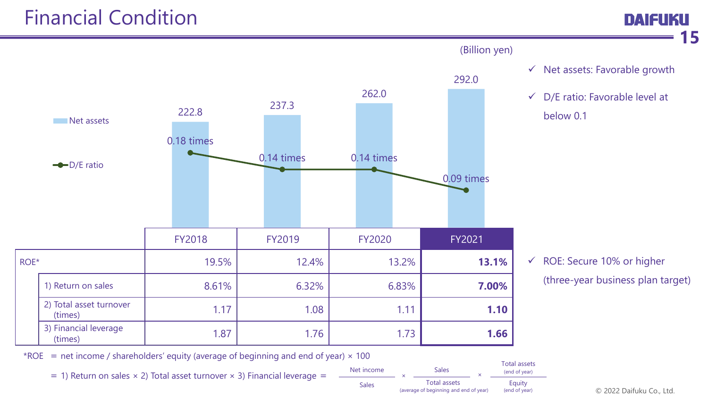

\*ROE = net income / shareholders' equity (average of beginning and end of year)  $\times$  100

 $= 1$ ) Return on sales  $\times$  2) Total asset turnover  $\times$  3) Financial leverage =



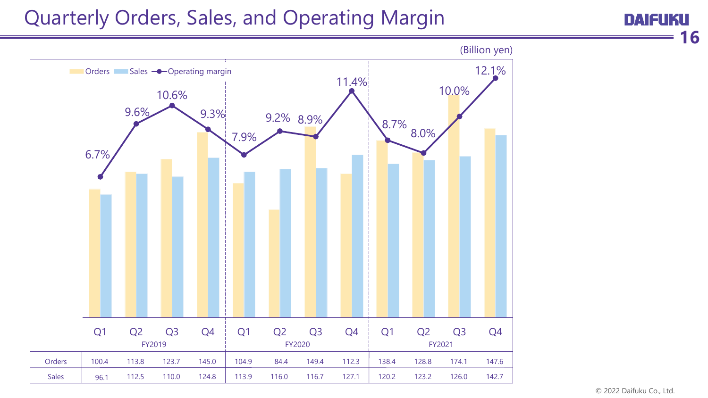## Quarterly Orders, Sales, and Operating Margin



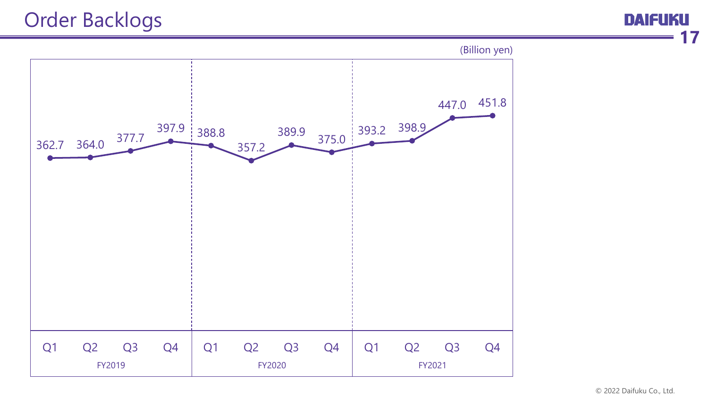## Order Backlogs

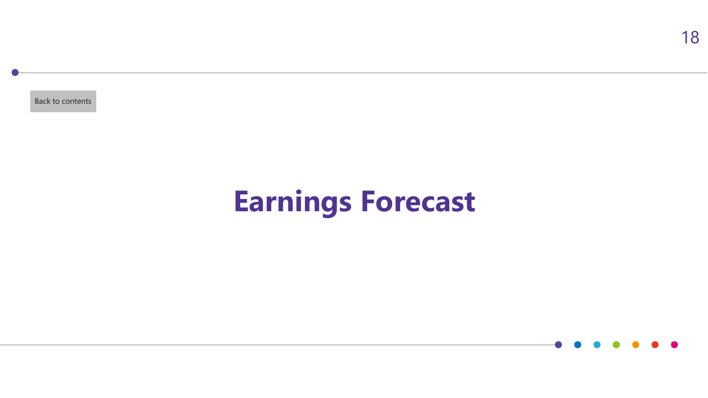<span id="page-18-0"></span>[Back to contents](#page-1-0)

## **Earnings Forecast**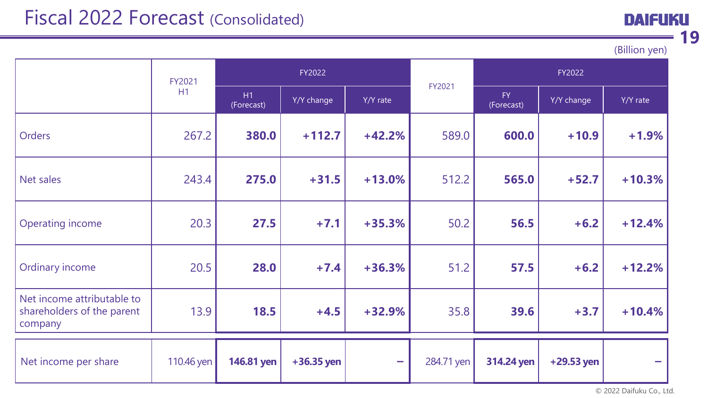## Fiscal 2022 Forecast (Consolidated)

(Billion yen)

**DAIFUKU** 

**19**

|                                                                     | FY2022     |                  |              |          | FY2022     |                   |            |          |
|---------------------------------------------------------------------|------------|------------------|--------------|----------|------------|-------------------|------------|----------|
|                                                                     | H1         | H1<br>(Forecast) | Y/Y change   | Y/Y rate | FY2021     | FY.<br>(Forecast) | Y/Y change | Y/Y rate |
| <b>Orders</b>                                                       | 267.2      | 380.0            | $+112.7$     | $+42.2%$ | 589.0      | 600.0             | $+10.9$    | $+1.9%$  |
| Net sales                                                           | 243.4      | 275.0            | $+31.5$      | $+13.0%$ | 512.2      | 565.0             | $+52.7$    | $+10.3%$ |
| <b>Operating income</b>                                             | 20.3       | 27.5             | $+7.1$       | $+35.3%$ | 50.2       | 56.5              | $+6.2$     | $+12.4%$ |
| Ordinary income                                                     | 20.5       | 28.0             | $+7.4$       | $+36.3%$ | 51.2       | 57.5              | $+6.2$     | $+12.2%$ |
| Net income attributable to<br>shareholders of the parent<br>company | 13.9       | 18.5             | $+4.5$       | $+32.9%$ | 35.8       | 39.6              | $+3.7$     | $+10.4%$ |
| Net income per share                                                | 110.46 yen | 146.81 yen       | $+36.35$ yen |          | 284.71 yen | 314.24 yen        | +29.53 yen |          |

© 2022 Daifuku Co., Ltd.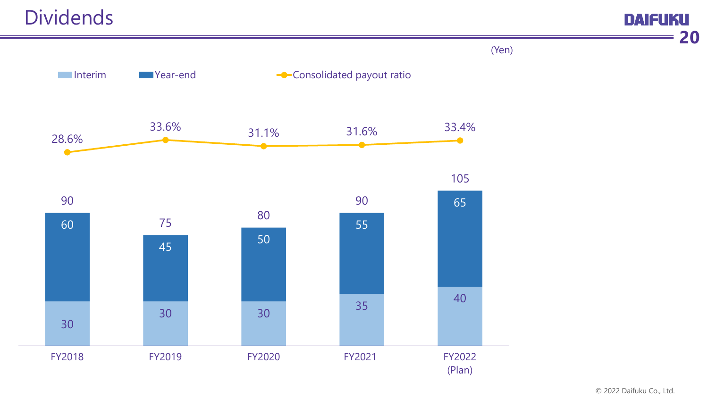30 <sup>30</sup> <sup>30</sup> <sup>35</sup> <sup>40</sup> 60 <sup>45</sup> <sup>50</sup> 55 90 65 <sup>75</sup> <sup>80</sup> 90 105 28.6% 33.6% 31.1% 31.6% 33.4% FY2018 FY2019 FY2020 FY2021 FY2022 Interim Table Year-end Consolidated payout ratio

(Plan)

(Yen)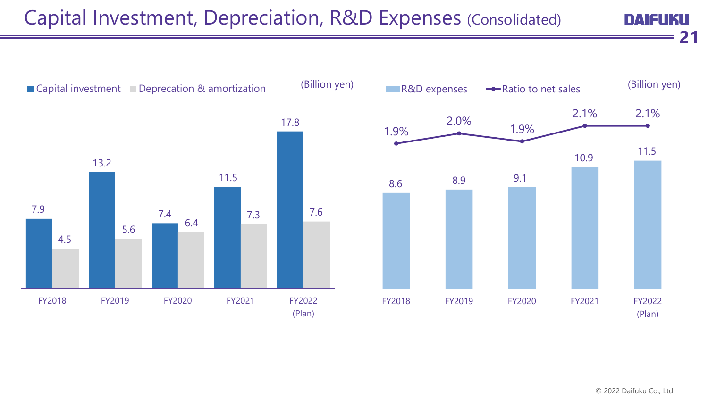## Capital Investment, Depreciation, R&D Expenses (Consolidated)

**DAIFUKU 21**

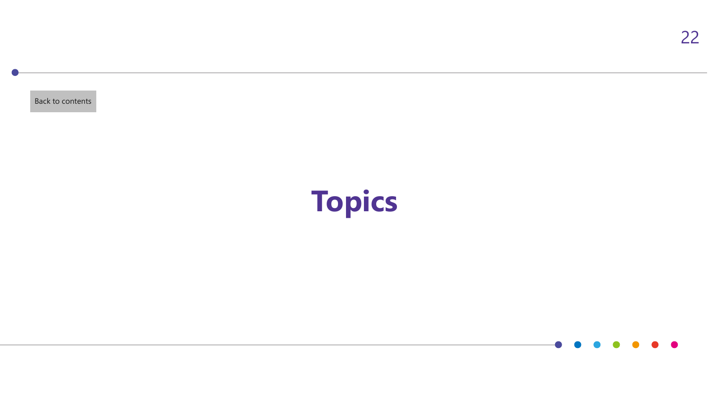<span id="page-22-0"></span>[Back to contents](#page-1-0)

# **Topics**

22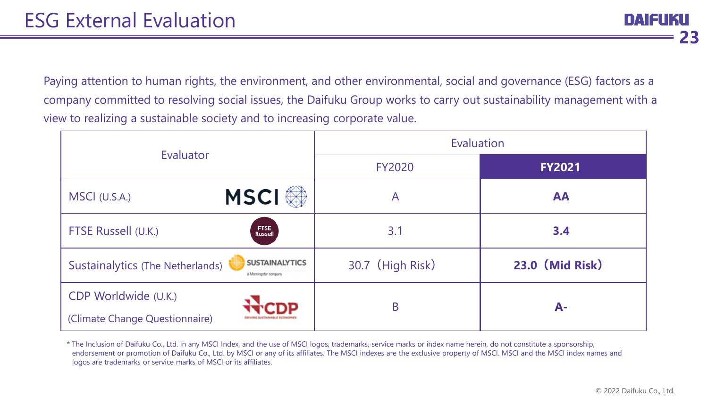I LATELII **23**

Paying attention to human rights, the environment, and other environmental, social and governance (ESG) factors as a company committed to resolving social issues, the Daifuku Group works to carry out sustainability management with a view to realizing a sustainable society and to increasing corporate value.

|                                                        |                                                | Evaluation       |                        |  |  |  |
|--------------------------------------------------------|------------------------------------------------|------------------|------------------------|--|--|--|
| Evaluator                                              |                                                | <b>FY2020</b>    | <b>FY2021</b>          |  |  |  |
| MSCI (U.S.A.)                                          | <b>MSCI</b>                                    | $\mathsf{A}$     | <b>AA</b>              |  |  |  |
| FTSE Russell (U.K.)                                    | <b>FTSE</b><br><b>Russell</b>                  | 3.1              | 3.4                    |  |  |  |
| <b>Sustainalytics (The Netherlands)</b>                | <b>SUSTAINALYTICS</b><br>a Morningstar company | 30.7 (High Risk) | <b>23.0 (Mid Risk)</b> |  |  |  |
| CDP Worldwide (U.K.)<br>(Climate Change Questionnaire) |                                                | B                | $A-$                   |  |  |  |

\* The Inclusion of Daifuku Co., Ltd. in any MSCI Index, and the use of MSCI logos, trademarks, service marks or index name herein, do not constitute a sponsorship, endorsement or promotion of Daifuku Co., Ltd. by MSCI or any of its affiliates. The MSCI indexes are the exclusive property of MSCI. MSCI and the MSCI index names and logos are trademarks or service marks of MSCI or its affiliates.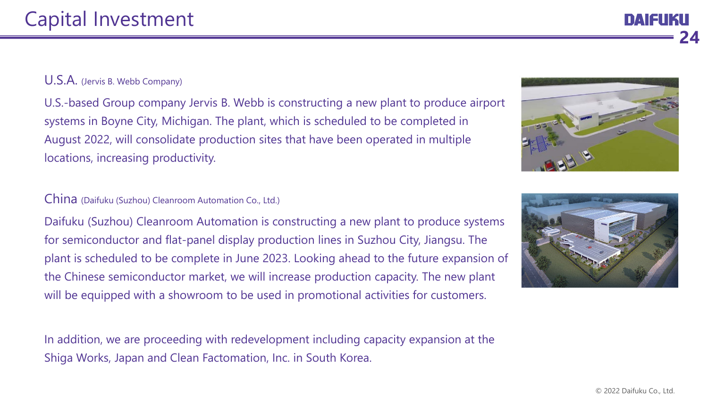#### U.S.A. (Jervis B. Webb Company)

U.S.-based Group company Jervis B. Webb is constructing a new plant to produce airport systems in Boyne City, Michigan. The plant, which is scheduled to be completed in August 2022, will consolidate production sites that have been operated in multiple locations, increasing productivity.

#### China (Daifuku (Suzhou) Cleanroom Automation Co., Ltd.)

Daifuku (Suzhou) Cleanroom Automation is constructing a new plant to produce systems for semiconductor and flat-panel display production lines in Suzhou City, Jiangsu. The plant is scheduled to be complete in June 2023. Looking ahead to the future expansion of the Chinese semiconductor market, we will increase production capacity. The new plant will be equipped with a showroom to be used in promotional activities for customers.

In addition, we are proceeding with redevelopment including capacity expansion at the Shiga Works, Japan and Clean Factomation, Inc. in South Korea.





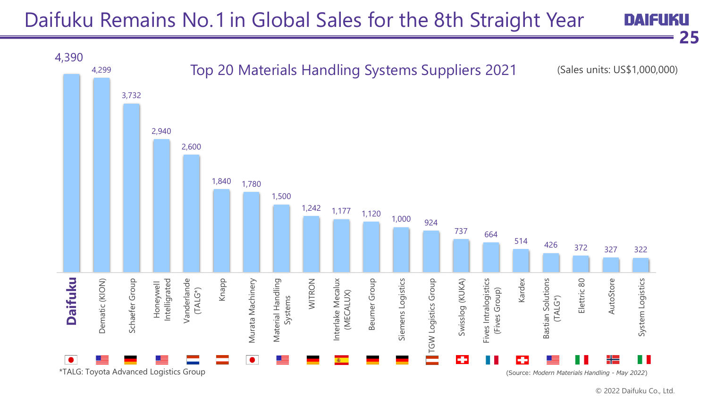#### Daifuku Remains No. 1 in Global Sales for the 8th Straight Year **DAIFUKU**